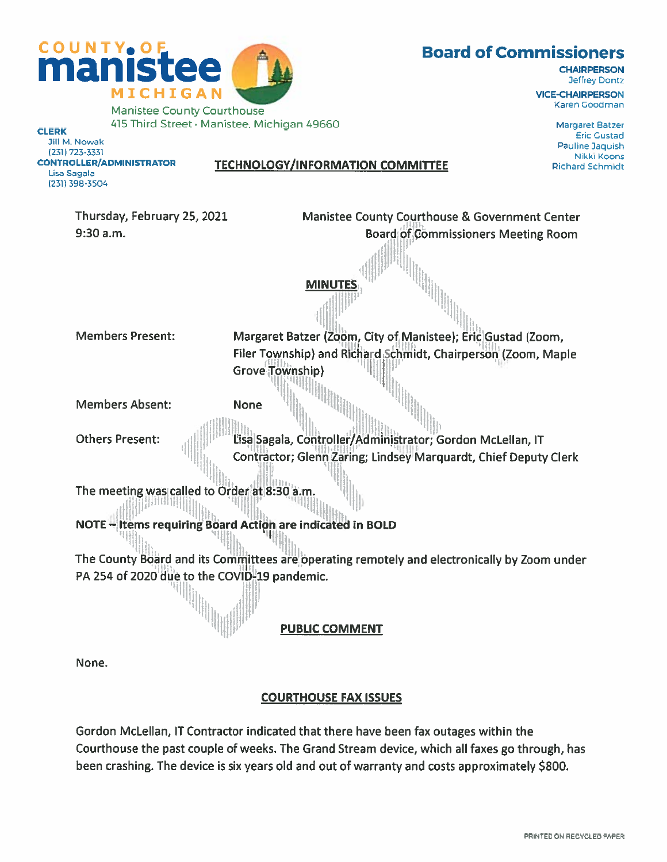

415 Third Street • Manistee, Michigan 49660 Manuson Margaret Batzer External Margaret Batzer Eric Gustad<br>19 Jill M. Nowak Eric Gustad Jill M. Nowak Pauline Jaquish (231) 723-3331 Nikki Koons Lisa Sagala 1231) 398-3504

### CONTROLLER/ADMINISTRATOR TECHNOLOGY/INFORMATION COMMITTEE Richard Schmidt

**MINUTE** 

Thursday, February 25, 2021 Manistee County Courthouse & Government Center

9:30 a.m. Board of Commissioners Meeting Room

I iii<sup>i</sup>ii<sub>lih</sub><br>Ii<sub>lih</sub>ii Members Present: Margaret Batzer (Zoom, City of Manistee); Eric Gustad (Zoom, Filer Township) and Richard Schmidt, Chairperson (Zoom, Maple Grove Township)

lIll

.aI

Members Absent: None

lb. Others Present: **In Lisa Sagala, Controller/Administrator**; Gordon McLellan, IT Contractor; Glenn Zaring; Lindsey Marquardt, Chief Deputy Clerk

The meeting was called to Order at 8:30 a.m.

hhhii{ij,

 $\| \mathbf{h} \|$ NOTE — Items requiring Board Action are indicated in BOLD

The County Board and its Committees are operating remotely and electronically by Zoom under PA 254 of 2020 due to the COVID-19 pandemic.

PUBLIC COMMENT

None.

### COURTHOUSE FAX ISSUES

Gordon McLellan, IT Contractor indicated that there have been fax outages within the Courthouse the pas<sup>t</sup> couple of weeks. The Grand Stream device, which all faxes go through, has been crashing. The device is six years old and out of warranty and costs approximately \$800.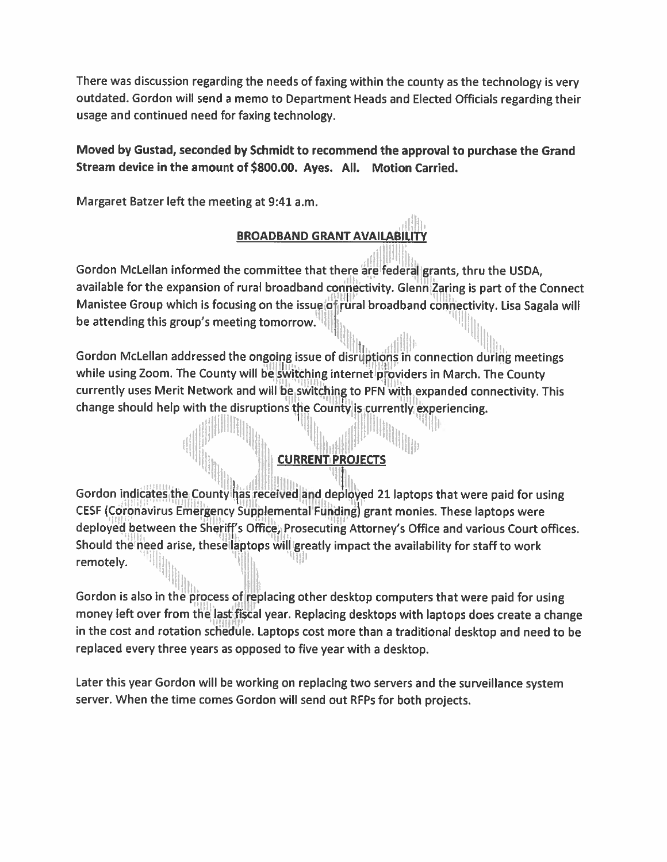There was discussion regarding the needs of faxing within the county as the technology is very outdated. Gordon will send <sup>a</sup> memo to Department Heads and Elected Officials regarding their usage and continued need for faxing technology.

### Moved by Gustad, seconded by Schmidt to recommend the approva<sup>l</sup> to purchase the Grand Stream device in the amount of \$800.00. Ayes. All. Motion Carried.

Margaret Batzer left the meeting at 9:41 a.m.

fIIJ!!' <sup>11111111111</sup>

### BROADBAND GRANT AVAILABILITY

H Gordon McLellan informed the committee that there are federal grants, thru the USDA, available for the expansion of rural broadband connectivity. Glenn Zaring is part of the Connect Manistee Group which is focusing on the issue of rural broadband connectivity. Lisa Sagala will be attending this group's meeting tomorrow.

Gordon McLellan addressed the ongoing issue of disruptions in connection during meetings while using Zoom. The County will be switching internet providers in March. The County currently uses Merit Network and will be switching to PFN with expanded connectivity. This change should help with the disruptions the County is currently experiencing.

## CURRENT PROJECTS

Gordon indicates the County has received and deployed 21 laptops that were paid for using CESF (Coronavirus Emergency Supplemental Funding) gran<sup>t</sup> monies. These laptops were deployed between the Sheriff's Office, Prosecuting Attorney's Office and various Court offices. Should the need arise, these laptops will greatly impact the availability for staff to work remotely. ii 1 'I'

Gordon is also in the process of replacing other desktop computers that were paid for using money left over from the last fiscal year. Replacing desktops with laptops does create a change in the cost and rotation schedule. Laptops cost more than <sup>a</sup> traditional desktop and need to be replaced every three years as opposed to five year with <sup>a</sup> desktop.

Later this year Cordon will be working on replacing two servers and the surveillance system server. When the time comes Gordon will send out RFPs for both projects.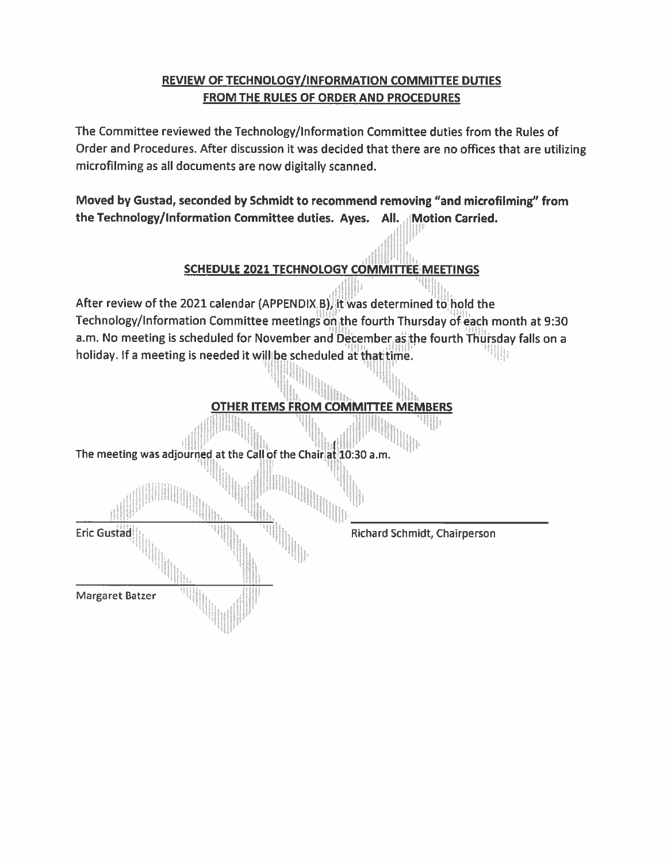### REVIEW OF TECHNOLOGY/INFORMATION COMMITTEE DUTIES FROM THE RULES OF ORDER AND PROCEDURES

The Committee reviewed the Technology/Information Committee duties from the Rules of Order and Procedures. After discussion it was decided that there are no offices that are utilizing microfilming as all documents are now digitally scanned.

Moved by Gustad, seconded by Schmidt to recommend removing "and microfilming" from the Technology/Information Committee duties. Ayes. All. Motion Carried.

### SCHEDULE 2021 TECHNOLOGY COMMITTEE MEETINGS

After review of the 2021 calendar (APPENDIX B), it was determined to hold the Technology/Information Committee meetings on the fourth Thursday of each month at 9:30 a.m. No meeting is scheduled for November and December as the fourth Thursday falls on a holiday. If a meeting is needed it will be scheduled at that time.

# OTHER ITEMS FROM COMMITTEE MEMBERS

The meeting was adjourned at the Call of the Chair at 10:30 a.m.

Eric Gustad Richard Schmidt, Chairperson

Margaret Batzer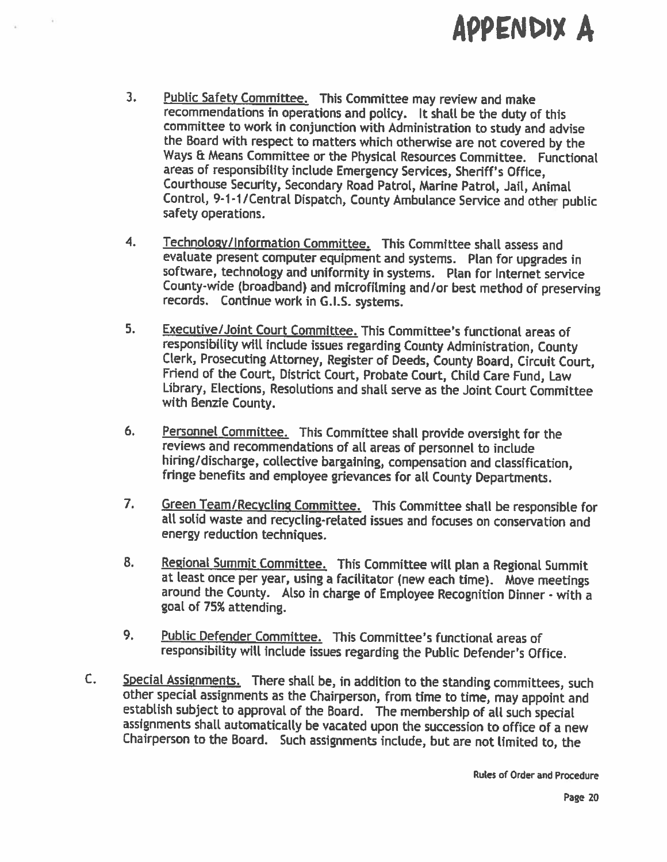# APPFNDIY A

- 3. Public Safety Committee. This Committee may review and make recommendations in operations and policy. It shall be the duty of this committee to work in conjunction with Administration to study and advise<br>the Board with respect to matters which otherwise are not covered by the<br>Ways & Means Committee or the Physical Resources Committee. Functional areas of responsibility include Emergency Services, Sheriff's Office, Courthouse Security, Secondary Road Patrol, Marine Patrol, Jail, Animal Control, 9-1-1/Central Dispatch, County Ambulance Service and other public safety operations.
- 4. Technology/Information Committee. This Committee shall assess and<br>evaluate present computer equipment and systems. Plan for upgrades in software, technology and uniformity in systems. Plan for Internet service County-wide (broadband) and microfilming and/or best method of preserving records. Continue work in G.I.S. systems.
- 5. Executive/Joint Court Committee. This Committee's functional areas of responsibility will include issues regarding County Administration, County Clerk, Prosecuting Attorney, Register of Deeds, County Board, Circuit Court, Friend of the Court, District Court, Probate Court, Child Care Fund, Law Library, Elections, Resolutions and shall serve as the Joint Court Committee with Benzie County.
- 6. Personnel Committee. This Committee shall provide oversight for the reviews and recommendations of all areas of personnel to include hiring/discharge, collective bargaining, compensation and classification, fringe benefits and employee grievances for all County Departments.
- 7. Green Team/Recycling Committee. This Committee shall be responsible for all solid waste and recycling-related issues and focuses on conservation and energy reduction techniques.
- 8. Regional Summit Committee. This Committee will plan a Regional Summit at least once per year, using a facilitator (new each time). Move meetings around the County. Also in charge of Employee Recognition Dinner - with a goa<sup>l</sup> of 75% attending.
- 9. Public Defender Committee. This Committee's functional areas of responsibility will include issues regarding the Public Defender's Office.
- C. Special Assignments. There shall be, in addition to the standing committees, such other special assignments as the Chairperson, from time to time, may appoint and establish subject to approval of the Board. The membersh